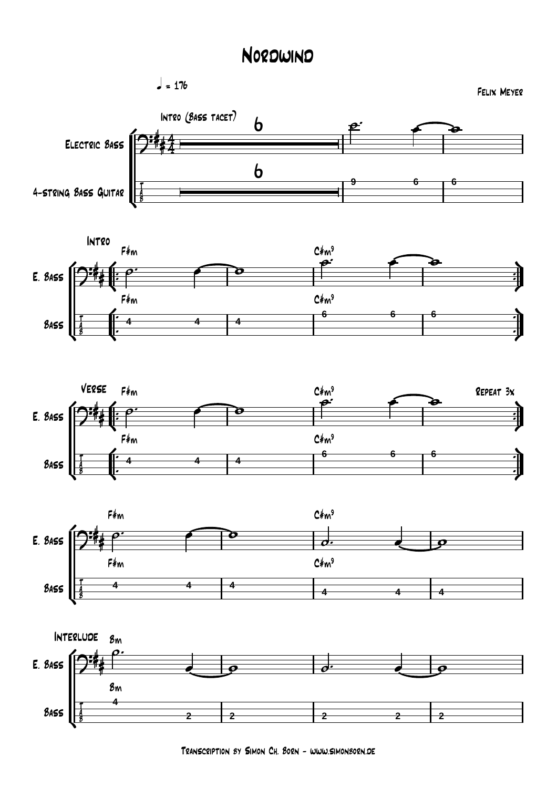## Nordwind









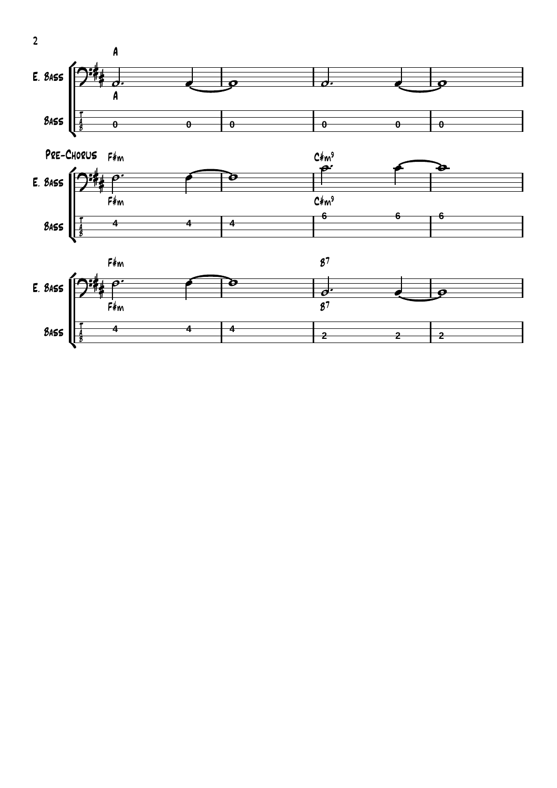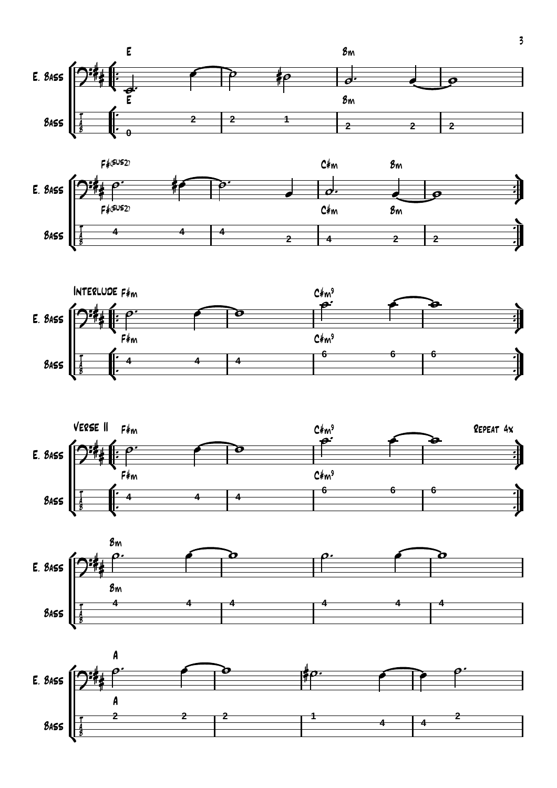









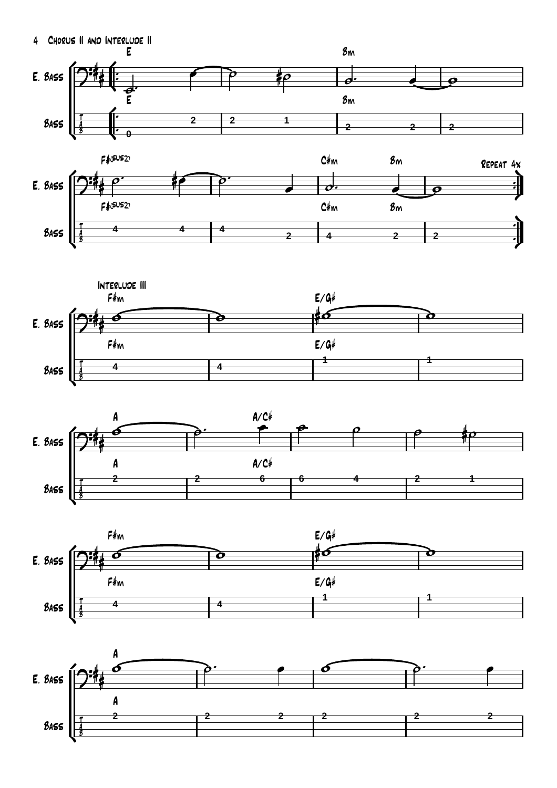